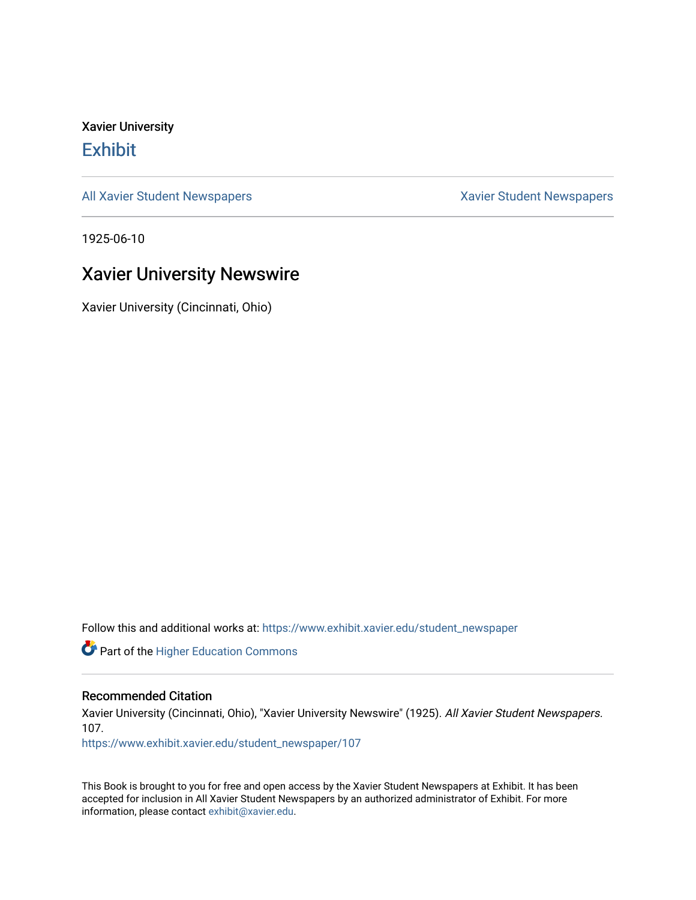Xavier University **Exhibit** 

[All Xavier Student Newspapers](https://www.exhibit.xavier.edu/student_newspaper) **Xavier Student Newspapers** Xavier Student Newspapers

1925-06-10

## Xavier University Newswire

Xavier University (Cincinnati, Ohio)

Follow this and additional works at: [https://www.exhibit.xavier.edu/student\\_newspaper](https://www.exhibit.xavier.edu/student_newspaper?utm_source=www.exhibit.xavier.edu%2Fstudent_newspaper%2F107&utm_medium=PDF&utm_campaign=PDFCoverPages) 

Part of the [Higher Education Commons](http://network.bepress.com/hgg/discipline/1245?utm_source=www.exhibit.xavier.edu%2Fstudent_newspaper%2F107&utm_medium=PDF&utm_campaign=PDFCoverPages) 

#### Recommended Citation

Xavier University (Cincinnati, Ohio), "Xavier University Newswire" (1925). All Xavier Student Newspapers. 107.

[https://www.exhibit.xavier.edu/student\\_newspaper/107](https://www.exhibit.xavier.edu/student_newspaper/107?utm_source=www.exhibit.xavier.edu%2Fstudent_newspaper%2F107&utm_medium=PDF&utm_campaign=PDFCoverPages) 

This Book is brought to you for free and open access by the Xavier Student Newspapers at Exhibit. It has been accepted for inclusion in All Xavier Student Newspapers by an authorized administrator of Exhibit. For more information, please contact [exhibit@xavier.edu](mailto:exhibit@xavier.edu).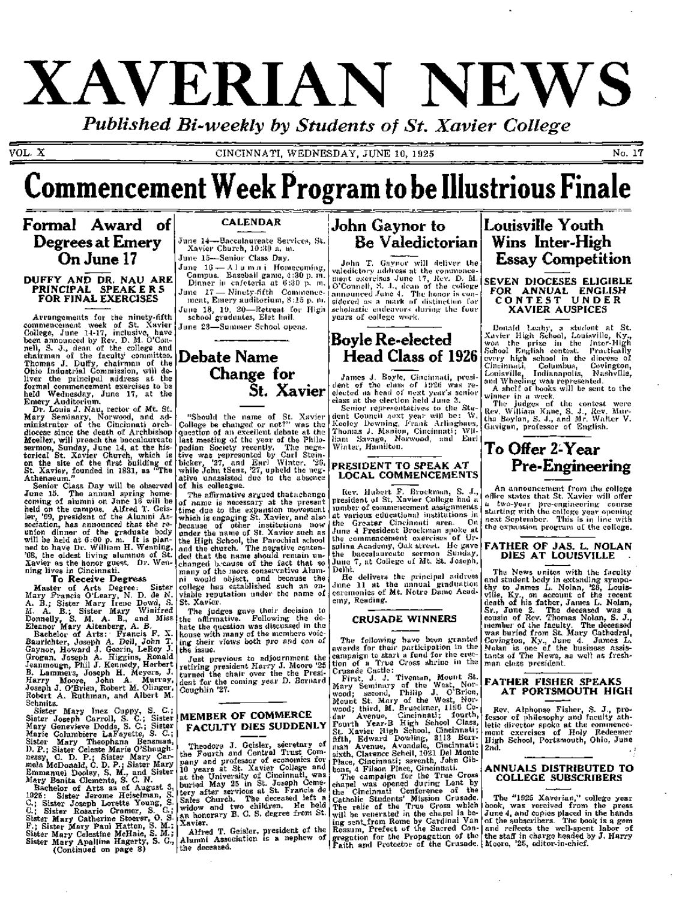# XAVERIAN NEWS

*Published Bi-weekly by Students of St, Xavier College* 

VOL. X CINCINNATI, WEDNESDAY, JUNE 10, 1925 No. 17

# **Commencement Week Program to be Illustrious Finale**

## **Formal Award of Degrees at Emery On June 17**

#### **DUFFY AND DR. NAU ARE PRINCIPAL** SPEAKER S **FOR** FINAL EXERCISES

Arrangements for the ninety-fifth commencement week of St. Xavier College, June 14-17, inclusive, have been announced by Rev. D. M. O'Connell, S. J., dean of the college and chairman of the faculty committee. Thomas J. Duffy, chairman of the Ohio Industrial Commission, will deliver the principal address at the formal commencement exercises to be held Wednesday, June 17, at the Emery Auditorium.

Dr. Louis J. Nau, rector of Mt. St. Mary Seminary, Norwood, and administrator of the Cincinnati archdiocese since the death of Archbishop Moeller, will preach the baccalaureate sermon, Sunday, June 14, at the historical St. Xavier Church, which is on the site of the first building of St. Xavier, founded in 1831, as "The Athenaeum. "

Senior Class Day will be observed June 15. The annual spring homecoming of alumni on June 16 will be held on the campus. Alfred T. Geisler, '09, president of the Alumni Association, has announced that the reunion dinner of the graduate body will be held at 6:00 p. m. It is planned to have Dr. William H. Wenning, '68, the oldest living alumnus of St. Xavier as the honor guest. Dr. Wenning lives in Cincinnati.

#### **To Receive Degress**

Master of Arts Degree: Sister Mary Francis O'Leary, N. D. de N. A. B.; Sister Mary Irene Dowd, S. M. A. B.; Sister Mary Winifred Donnelly, S. M. A. B., and Miss Eleanor Mary Altenberg, A. B.

Bachelor of Arts: Francis F. X. Baurichter, Joseph A. Dell, John T. Gaynor, lioward J. Geerin, LeRoy J. Grogan, Joseph A. Higgins, Ronald Jeanmougn, Phil J. Kennedy, Herbert B. Lammers, Joseph H. Meyers, J. Harry Moore, John A. Murray, Joseph J. O'Brien, Robert M. dinger, Robert A. Ruthman, and Albert M. Schmitz.

Sister Mary Inez Cuppy, S. C.; Sister Joseph Carroll, S. C ; Sister Mary Genevieve Dodds, S. C ; Sister Marie Columbiere LaFayette, S. C.; Sister Mary Theophana Bensman, D. P.; Sister Celeste Marie O'Shaughnessy, C. D. P.; Sister Mary Carmela McDonald, C. D. P.; Sister Mary Emmanuel Dooley, S. M., and Sister Mary Benita Clements, S. C. N.

Bachelor of Arts as of August 3, 1925: Sister Jerome Heiselman, S. C.; Sister Joseph Lorette Young, S. C.; Sister Rosario Cramer, S. C.; Sister Mary Catherine Stoerer, 0 . S. F.; Sister Mary Paul Hatton, S. M.; Sister Mary Celestine McHale, S. M.; Sister Mary Apalline Hagerty, S. C., (Continued on page 8)

## **CALENDAR**

June 14—Baccalaureate Services, St. Xavier Church, 10:30 a. m. June 15—Senior Class Day.

•June 16 — .A. 1 u m n i Homecomi Campus. Baseball game, 4:30 p. Dinner in cafeteria at 6:30 p. ment, Emery auditorium, 8:15 p. m. ment, Emery auditorium, 8 :15 p. 16 school graduates, Elet hall. ng,<br>m.<br>m. ce-

June 23-Sammer School opens.

## **Debate Name Change for St, Xavier**

"Should the name of St. Xavier College be changed or not?" was the question of an excellent debate at the last meeting of the year of the Philopedian Society recently. The negative was represented by Carl Steinbicker, '27, and Earl Winter, '20, while John tSenz, '27, upheld the negative unassisted due to the absence of his colleague.

The affirmative argued thatachange of name is necessary at the present time due to the expansion movement which is engaging St. Xavier, and also because of other institutions now under the name of St. Xavier such as the High School, the Parochial school and the church. The negative contended that the name should remain unchanged b.'cause of the fact that so many of the more conservative Alumni would object, and because the college has established such an enviable reputation under the name of

St. Xavier. The judges gave their decision to the aflirmative. Following the debate the question was discussed in the house with many of the members voicing their views both pro and con of the issue.

Just previous to adjournment the retiring president Harry J. Moore '25 turned the chair over the the President for the coming year D. Bernard Coughlin '27.

## **MEMBER OF COMMERCE FACULTY DIES SUDDENLY**

Theodore J. Geisler, secretary of the Fourth and Central Trust Company and professor of economics for 10 years at St. Xavier College and at the University of Cincinnati, was buried May 25 in St. Joseph Cemetery after services at St. Francis de Sales Church. The deceased left a widow and two children. He held an honorary B. C. S. degree from St. Xavier.

Alfred T. Geisler, president of the Alumni Association is a nephew of the deceased.

## **John Gaynor to Be Valedictorian**

John T. Gaynor will deliver the valedictory address at the commencGment exercises June 17, Rev. D. M. O'Connell, S. J., doan of the college announced  $I$ une 4.  $\,$  The honor is con-  $\,$ sidered a.s a mark of distinction for scholastic endeavors during the four years of college work.

## **Boyle Re-elected Head Class of 1926**

James J. Boyle, Cincinnati, president of the class ol' 1926 was reelected as head of next year's senior class at the election held June 3.

Senior representatives to the Student Council next year will be : W. Keeley Downing, Frank Arlinghaus, Thomas J. Manion, Cincinnati; William Savage, Norwood, and Earl Winter, Hamilton.

#### PRESIDENT TO SPEAK AT LOCAL COMMENCEMENTS

Rev. Hubert F. Brockman, S. J., president of St. Xavier College had a lumber of commencement assignments at various educational institutions in the Greater Cincinnati area. On June 4 President Brockman spoke at the commencement exercises of Ursulina Academy, Oak street. He gave the baccalaureate sermon Sunday, June 7, at College of Mt. St. Joseph, Delhi.

He delivers the principal address June 11 at the annual graduation ceremonies of Mt. Notre Dame Academy, Reading.

## **CRUSADE WINNERS**

The following have been granted awards for their participation in the campaign to start a fund for the erection of a True Cross shrine in the Crusade Castle:

First, J. J. Tiveman, Mount St. Mary Seminary of the West, Norwood; second, Philip J. O'Brien, Mount St. Mary of the West, Norwood; third, M. Brueckner, 1196 Cedar Avenue, Cincinnati; fourth. Fourth Year-B High School Class, St. Xavier High School, Cincinnati; fifth, Edward Dowling, 3113 Borrman Avenue, Avondale, Cincinnati; .si.xth, Clarence Schell, 1021 Del Monte Place, Cincinnati; seventh, John Gibbons, 4 Filson Place, Cincinnati.

The campaign for the True Cross chapel was opened during Lent by the Cincinnati Conference of the Catholic Students' Mission Crusade. The relic of the True Cross which will be venerated in the chapel is being sent.,from Rome by Cardinal Van Rossum, Prefect of the Sacred Congregation for the Propagation of the Faith and Protector of the Crusade.

## **Louisville Youth Wins Inter-High Essay Competition**

SEVEN **DIOCESES ELIGIBLE**  FOR ANNUAL **ENGLISH**  CONTEST UNDER XAVIER AUSPICES

Donald Leahy, a student at St. Xavier High School, Louisville, Ky., won the prize in the Inter-High School English contest. Practically evc'i'y high school in the diocese of Cincinnati, Columbus, Covington, Louisville, Indianapolis, Nashville, and Wheeling was represented.

A shelf of books will be sent to the winner in a week.

The judges of the contest were Rev. William Kane, S. J., Rev. Murtha Boylan, S. J., and Mr. Walter V. Gavigan, professor of English,

## **To Offer 2-Year Pre-Engineering**

An announcement from the college ofiice states that St. Xavier will offer a two-year pre-engineoring course starting with the colloge year openingnext September. This is in line with the expansion program of the college.

#### **FATHER OF JAS. L. NOLAN DIES AT LOUISVILLE**

The News unites with the faculty and student body in extending sympathy to James L. Nolan, '28, Louisville, Ky., on account of the recent death of his father, James L. Nolan, Sr., June 2. The deceased was a cousin of Rev. Thomas Nolan, S. J., member of the faculty. The deceased was buried from St. Mary Cathedral, Covington, Ky., June 4. James L. Nolan is one of the business assistants of The News, as well as freshman class president.

### **FATHER FISHER SPEAKS AT PORTSMOUTH HIGH**

Rev. Alphonse Fisher, S. J., professor of philosophy and faculty athletic director spoke at the commencement exercises of Holy Redeemer High School, Portsmouth, Ohio, June 2nd.  $\blacksquare$ 

#### **ANNUALS DISTRIBUTED TO COLLEGE SUBSCRIBERS**

The "1925 Xaverian," college year book, was received from the press June 4, and copies placed in the hands of the subscribers. The book is a gem and reflects the well-spent labor of the staff in charge headed by J. Harry Moore, '25, editor-in-chief.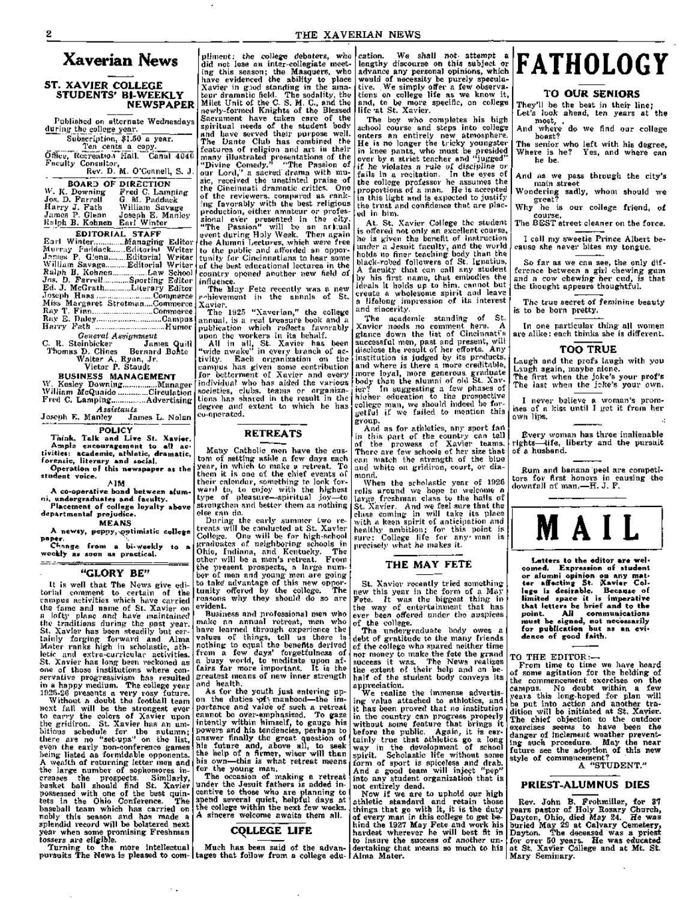## **Xaverian News**

#### **ST. XAVIER COLLEGE STUDENTS' BI-WEEKLY NEWSPAPER**

Published on alternate Wednesdays during the college year.

Subscription, \$1.60 a year. Ten cents a copy. Office, Recreation HaU. Canal 4040 Faculty Consultor,

Rev. D. M. O'Connell, S. J. BOARD OF DIRECTION BOARS OF DIRECTION<br>W. K. Downing Fred C. Lamping<br>Jos. D. Farrell G. M. Paddack<br>Harry J. Fath William Savage Jos. D. Farrell G. M. Paddaek Harr y J. Fath William Savage James P. Glenn Joseph E. Manley

R:lph B. Kohnen Earl Winter **[18]** EDITORIAL STAFF Earl Winter Managing Editor Murray Paddack...... Editorial Writer James P. Glenn Editorial Writer William Savage...........Editorial Writer Ralph B. Kohnen Law School Jos. D. Farrell Sporting Editor Ed. J. McGrath ............Literary Editor Joseph Haas ...............................Commerce Miss Mai-garet Strotman....Commerce Ray T. Finn..............................Commerce Ray E. Daley.................................Campus Harr y Fath Humor *General Assignment* 

C. R. Steinbicker James Quill Thomas D. Clines Bernard Bohto Walter A. Ryan, Jr. Victor P. Staudt

BUSINESS MANAGEMENT

W. Kesley Downing................Manager William McQuaide ............Circulation Fred C. Lamping................Advertising *Assistants* 

.Joseph E. Manley James L. Nolan **POLICY** 

**Think, Talk and Live St. Xavier. Ample encouragement to all activities: academic, athletic, dramatic, forensic, literary and social. Operation of this newspaper as the student voice.** 

**AIM** 

**A co-operative bond between alumni, undergraduates and faculty. Placement of college loyalty above departmental prejudice.** 

**MEANS A newsy, pepnyjs^ptimistic college paper.** 

Change from a bi-weekly to **weekly as soon as practical.**   $=$   $=$   $=$ 

#### **"GLORY BE"**

It is well that The News give editorial comment to certain of the campus activities which have carried the fame and name of St. Xavier on a lofty plane and have maintained the traditions during the past year. St. Xavier has been steadily but certainly forging forward and Alma Mater ranks high in scholastic, athletic and extra-curricular activities. St. Xavier has long been reckoned as one of those institutions where conservative progressivism has resulted in a happy medium. The college year 1925-20 presents a very rosy future.

Without a doubt the football team next fall will be the strongest ever to carry the colors of Xavier upon the gridiron. St. Xavier has an ambitious schedule for the autumn; there are no "set-ups" on the list, even the early non-conference games being listed as formidable opponents. A wealth of returning letter men and the large number of sophomores increases the prospects. Similarly, basket ball should find St. Xavier possessed with one of the best quintets in the Ohio Conference. The baseball team which has carried on nobly this season and has made a splendid record will be bolstered next year when some promising Freshman tossers are eligible.

Turning to the more intellectual pursuits "The News is pleased to com-

 $\sim$  .

pliment: the college debaters, who<br>did not lese an inter-collegiate meetdid not lose an inter-collegiate meeting this season; the Masquers, who have evidenced the ability to place Xavier in g.iod standing in the amateur dramatic field. The sodality, the Milet Unit of the C. S. M. C, and the newly-formed Knights of the Blessed Sacrament have taken care of the spiritual needs of the student body and have served their purpose well. The Dante Club has combined the features of religion and art in their many illustrated presentations of the

"Divine Comedy." "The Passion of our Lord,'' a sacred drama with music, received the unstinted praise of the Cincinnati dramatic critics. One of the reviewers, compared as rankof the reviewers, compared as rank-<br>ing favorably with the best religious production, either amateui- or professional ever presented in the city. "The Passion" will be an arigual event during Holy Week. Then again the Alumni Lectures, which were free to the public and afforded an opportunity for Cincinnatians to hear some of the best educational lectures in the country opened another new field of influence.

The May Fete recently was a new fir-hievement in the annals of St. Xavier.

The  $1925$  "Xaverian," the college annual, is a real treasure book and a publication which reflects favorably upon the workers in its behalf.

All in all, St. Xavier has been "wide awake" in every branch of activity. Each organization on the campus has given some contribution for betterment of Xavier and every individual who has aided the various societies, clubs, teams or organizations has shared in the result in the degree and extent to which he has co-operated.

## **RETREATS**

Many Catholic men have the custom of setting aside a few days each year, in which to make a retreat. To them it is one of the chief events of their calendar, something to look forward to, to enjoy with the highest type of pleasure—-spiritual joy—to strengthen and better them as nothing else can do.

During the eai'ly summer two retreats will be conducted at St. Xavier College. One will be for high-school graduates of neighboring schools in Ohio, Indiana, and Kentucky. The other will be a men's retreat. From the present prospects, a large number of men and young men are going to take' advantage of this new opportunity offered by the college. The reasons why they should do so are evident.

Business and professional men who make an annual retreat, men who have learned through experience the values of things, tell us there is nothing to equal the benefits derived from a few days' forgetfulness of a busy world, to meditate upon affairs far more important. It is the greatest means of new inner strength and health.

As for the youth just entering upon the duties \oi'; manhood—the importance and value of such a retreat cannot be over-emphasized. To gaze intently within himself, to gauge his powers and his tendencies, perhaps to answer finally the great question of his future and, above all, to seek the help of a firmer, wiser will than his own—this is what retreat means for the young man.

The occasion of making a retreat under the Jesuit fathers is added incentive to those who are planning to spend several quiet, helpful days at the college within the next few weeks. A sincere welcome awaits them all.

## **COLLEGE LIFE**

Much has been said of the advantages that follow from a college edu-

cation. We shall not attempt a lengthy discourse on this subject or advance any personal opinions, which would of necessity be purely speculative. We simply offer a few observations on college life as we know it, and, to be more specific, on college life -at St. Xavier.

The boy who completes his high scliool course and steps into college enters an entirely new atmosphere. He is no longer the tricky youngster in knee pants, who must be presided over by a strict teacher and "jugged" if he violates a rule of discipline or fails in a recitation. In the eyes of the college professor he assumes the proportions of a man. He is accepted in this light and is expected to justify the trust and confidence that are placed in him.

At. St. Xavier College the student is offered not only an excellent course, he is given the benefit of instruction under a Jesuit faculty, and the world holds no finer teaching body than the black-robed followers of St. Ignatius. A faculty that can call any student by his first name, that embodies the ideals it holds up to him, cannot but create a wholesome spirit and leave a lifelong impression of its interest and sincerity.

The academic standing of St. Xavier needs no comment here. A glance down the list of Cincinnati's successful men, past and present, will disclose the result of her efforts. Any institution is judged by its products, and where is there a more creditable, more loyal, more generous, graduate body than the alumni of old St. Xavier?" In suggesting a few phases of hieher education to the prospective college man, we should indeed be forgetful if we failed to mention this geroup.<br>œroup.

And as for athletics, any sport fan in thia part of the country can tell of the prowess of Xavier teams. The this part of the country can tend<br>of the prowess of Xavier teams.<br>There are few schools of her size that can match the strength of the blue and white on gridii'on, court, or diamond.

When the scholastic year of 1926 rolls ai-ound we hope to welcome a large freshman class to the halls of St. Xavier. And we feel sure that the class coming in will take its place with a keen spirit of anticipation and healthy ambition; for this point is sure: College life for any man is precisely what he makes it.

#### THE MAY FETE

St. Xavier recently tried something new this year in the form of a May Fete. It was the biggest thing in the way of entertainment that has ever been offered under the auspices of the college.

The undergraduate body owes a debt of gratitude to the many friends of the college who spared neither time nor money to make the fete the grand success it was. The News realizes the extent of their help and on behalf of the student body conveys its appreciation.

We realize the immense advertising value attached to athletics, and it has been proved that no institution in the country can progress properly without some feature that brings it before the public. Again, it is certainly true that athletics go a long way in the development of school spirit. Scholastic life without some form of sport is spiceless and drab. And a good team will inject "pep" into any student organization that is not entirely dead.

Now if we are to uphold our high athletic standard and retain those things that go with it, it is the duty of every man in this college to get behind the 1927 May Fete and work his hardest wherever he will best fit in to insure the success of another undertaking that means so much to his Alma Mater.

# **PATHOLOGY**

#### **TO OUR SENIORS**

They'll be the best in their line; Let's look ahead, ten years at the most, . And where do we find our college

boast? The senior who left with his degree. Where is he? Yes, and where can he be.

And as we pass through the city's main street

Wondering sadly, whom should we greet?

Why he is our college friend, of course. The BEST street cleaner on the force.

I call my sweetie Prince Albert because she never bites my tongue.

So far as we can see, the only difference between a girl chewing gum and a cow chewing her cud, is that the thought appears thoughtful.

The true secret of feminine beauty is to be born pretty.

In one particular thing all women are alike: each thinks she is different.

#### TOO TRUE

Laugh and the profs laugh with you Laugh again, maybe alone. The first when the joke's your prof's The last when the joke's your own.

I never believe a woman's promises of a kiss until I get it from her own lips.

Every woman has three inalienable rights—life, liberty and the pursuit of a husband.

Rum and banana peel are competitors for first honors in causing the downfall of man.—H. J. F.



**Letters to the editor are welcomed. Expression of student or alumni opinion on any mat**ter affecting St. Kavier Col**lege is desirable. Because of limited space it is imperative that letters be brief and to the point. All communications must be signed, not necessarily for publication but as an evidence of good faith.** 

**TO THE EDITOR:—** 

From time to time we have heard of some agitation for the holding of the commencement exercises on the campus. No doubt within a few years this long-hoped for plan will be put into action and another tradition will be initiated at St. Xavier. The chief objection to the outdoor exercises seems to have been the danger of inclement weather preventing such procedure. May the near future see the adoption of this new style of commencement?

A "STUDENT. "

#### **PRIEST-ALUMNUS DIES**

Rev. John B. Frohmiller, for 37 years pastor of Holy Rosary Church, Dayton, Ohio, died May 24. He was buried May 29 at Calvary Cemetery, Dayton. The deceased was a priest for over 50 years. He was educated at St. Xavier College and at Mt. St. Mary Seminary.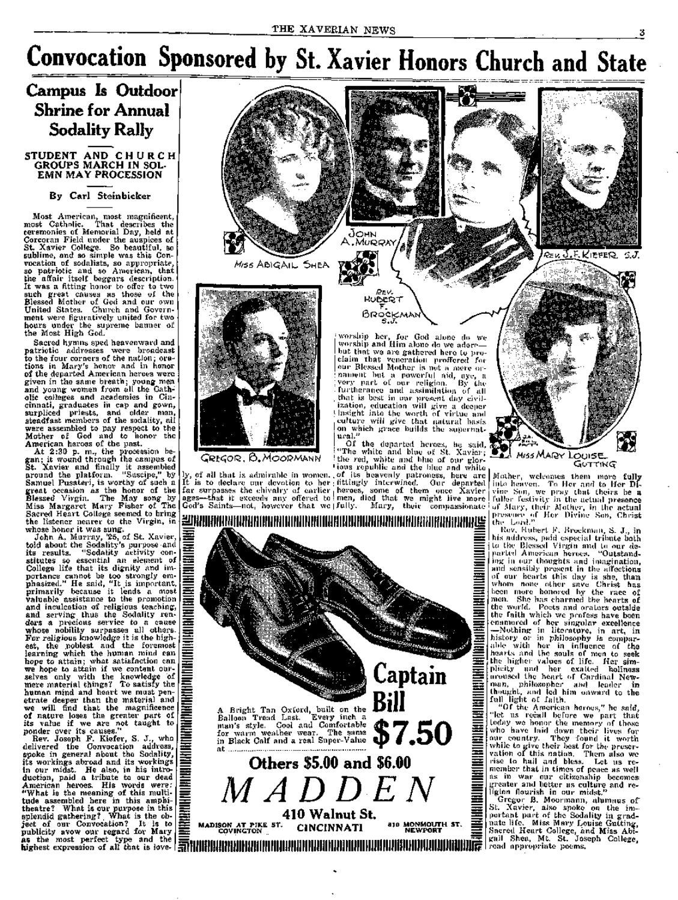# **Convocation Sponsored by St. Xavier Honors Church and State**

## **Campus Is Outdoor Shrine for Annual Sodality Rally**

#### STUDENT AND CHURC H GROUPS MARCH IN SOL-EMN MAY PROCESSION

#### **By Carl Steinbicker**

Most American, most magnificent, most Catholic. That describes the ceremonies of Memorial Day, held at Corcoran Field under the auspices of St. Xavier College. So beautiful, so sublime, and so simple was this Convocation of sodalists, so appropriate, so patriotic and so American, that the affair itself beggars description. It was a fitting honor to offer to two such great causes as those of the Blessed Mother of God and our own United States. Church and Government were figuratively united for two hours under the supreme banner of the Most High God.

Sacred hymns sped heavenward and patriotic addresses were broadcast to the four corners of the nation; orations in Mary's honor and in honor of the departed American heroes were given in the same breath; young men and young women from all the Catholic colleges and academies in Cincinnati, graduates in cap and gown, surpliced priests, and older men, steadfast members of the sodality, all were assembled to pay respect to the Mother of God and to honor the American heroes of the past.

At 2:30 p. m., the procession began ; it wound through the campus of St. Xavier and finally it assembled around the platform. "Suscipe," by Samuel Pusateri, is worthy of such a great occasion as the honor of the Blessed Virgin. The May song by Miss Margaret Mary Fisher of The Sacred Heart College seemed to bring the listener nearer to the Virgin, in whose honor it was sung.

John A. Murray, '25, of St. Xavier, told about the Sodality's purpose and its results. "Sodality activity constitutes so essential an element of College life that its dignity and importance cannot be too strongly emphasized." He said, "It is important, primarily because it lends a most valuable assistance to the promotion and inculcation of religious teaching, and serving thus the Sodality renders a precious service to a cause whose nobility surpasses all others. For religious knowledge it is the highest, the noblest and the foremost learning which the human mind can hope to attain; what satisfaction can we hope to attain if we content ourselves only with the knowledge of mere material things? To satisfy the human mind and heart we must penetrate deeper than the material and we will find that the magnificence of natur e loses the greater part of its value if we are not taught to ponder over its causes."

Rev. Joseph F. Kiefer, S. J., who delivered the Convocation address, spoke in general about the Sodality, its workings abroad and its workings in our midst. He also, in his introduction, paid a tribute to our dead American heroes. His words were: "What is the meaning of this multitude assembled here in this amphitheatre? What is our purpose in this splendid gathering? What is the  $ob$ ject of our Convocation? It is to publicity avow our regard for Mary as the most perfect type and the highest expression of all that is love-



GREGOR, B.MOORMANN

ly, of all that is admirable in women. It is to declare our devotion to her far surpasses the chivalry of earlier ages—that it exceeds any offered to God's Saints—not, however that we

I "The white and blue of St. Xavier; the red, white and blue of our glor- $\blacksquare$ ious republic and the blue and white ; of its heavenly pati-oness, here are I fittingly interwined. Our departed  $_1$ heroes, some of them once  $\rm Xavier$ men, died that we might live more (fully. Mary, their compassionate

**Bill** 



Mother, welcomes them more fully into heaven. To Her and to Her Divine .Son, wc |)ray that theirs be a fuller-festivity in the actual presence of i\fary, fhcii- Mother, in the actual presence of flei' Divine Son, Christ the Lord."

Rev. Hubert K. Brockman, S. J., in his address, paid especial tribute both to the Blessed Vii'gin and to our depailcd Amei'ican heroes. "Outstanding in oui- thoughts and imagination, and sensibly present in the alFections of our hearts this day is she, than whom none other save Christ has loeii more honoi-ed hy the race of mon. She has charmed the hearts of the world. Poets and orators outside the faith which we profess have been enamoi'ed of her singular excellence —Nothing in literature, in art, in history oi- in philosophy is comparhcr in influence of the tho souls of men to seek values of life. Her simcxalted holiness of Cardinal Newahlc with hearts ant, the higher plicity and her aroused the heai't man, philosophc)' and leader in thought, and led him onward to the full light of faith.

"Of the American heroes," ho said, "let us recall before we part that today we honor the memory of those who have laid down their lives for our country. They found it worth while to give theii' best for the preservation of this nation. Them also we rise to hail and bless. Let us remember that in times of peace as well as in war our citizenship becomes; greater and better as culture and religion flourish in our midst."

Gregoi- B. Moormann, alumnus of St. Xavier, also spoke on the important pai't of the Sodality in graduate life. Miss Mary Louise Gutting, Sacred Heart College, and Miss Abigail Shea, Mt. St. Joseph College, I'ead appropriate poems.



ural. "

A Bright Tan Oxford, built on the Balloon Tread Last. Every inch a man's style. Cool and Comfortable for warm weather wear. The same

in Black Calf and a real Super-Value **at \$7.50 Others S5.00 and \$6.00** 

 $MADDEN$ **MADISON AT PIKE ST. COVINGTON 410 Walnut St. CINCINNATI 810 MONMOUTH ST. NEWPORT** 

SJ.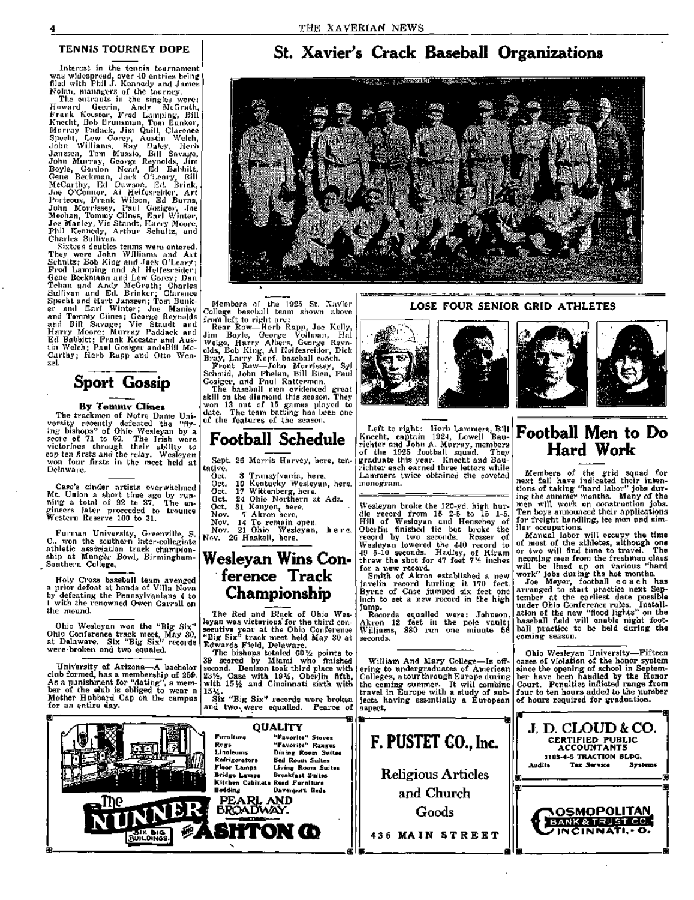Interest in the tennis tournament was widespread, over 40 entries being' filed with Phil J. Kennedy and James Nolati, managers of the tourney.

The entrants in the singles were: Howard Geerin, Andy McGrath, Frank Kooster, Fred Lamping, Bill Knecht, Bob Bi-unsman, Tom Bunker, Murray Padack, Jim Quill, Clarence Specht, Lew Gorey, Austin Welch, John Williams, Fiay Daley, Herb Janzsen, Tom Mussio, Bill Savage, John Murray, George Reynolds, Jim Boyle, Gordon Nead, Ed Babbitt, Gene Beckman, Jack O'Leary, Bill McCarthy, Ed Dawson, Ed. Brink, Joe O'Connor, Al Helfesreidei-, Art Porteous, Frank Wilson, Ed Burns, John Morrissey, Paul Gosiger, Joe Meehan, Tommy Clines, Earl Winter, Joe Manley, Vic Standt, Hari-y Mooi-e, Phil Kennedy, Arthur Schultz, and Charles Sullivan.

Sixteen doubles teams were entered. They were John Williams and Art Schultz; Bob King and Jack O'Leary; Fred Lamping and Al Ilelfesreider; Gene Beckmann and Lew Gorey; Dan Tehan and Andy McGrath; Charles Sullivan and Ed. Bi-inker; Clarence Specht and Herb Janzsen; Tom Bunker and Earl Winter; Joe Manley and Tommy Clines; George Reynolds and Bill Savage; Vic Staudt and Harr y Moore; Murray Paddaek and Ed Babbitt; Frank Koester and Austin Welch; Paul Gosiger and»Bill Mc-Carthy; Herb Rapp and Otto Wenzel.



#### **By Tommv Clines**

The trackmen of Notre Dame versity recently defeated the ing bishops" of Ohio Wesleyan by' a score of 71 to 60. The Irish were victorious through their ability to cop ten firsts and the relay. Wesleyan won four firsts in the meet held at Delaware. Uni- •flv-

Ca.se's cinder artists overwhelmed Mt. Union a short time ago by running a total of 92 to 37. The engineers later proceeded to trounce Western Reserve 100 to 31.

Furman University, Gi'eenville, S. C. won the southern inter-collegiate athletic association track championship at Munger Bowl, Birmingham-Southern College.

Holy Cross baseball team avenged a prior defeat at hands of Villa Nova by defeating the Pennsylvanians 4 to 1 with the renowned Owen Carroll on the mound.

Ohio Wesleyan won the "Big Six" Ohio Conference track meet. May 30, at Delaware. Six "Big Six" records were-broken and two equaled.

University of Arizona—A bachelor club formed, has a membership of 259. As a punishment for "dating", a member of the alub is obliged to wear a Mother Hubbard Cap on the campus for an entire day.

**BUILDINGS** 

**B-**

## TENNIS TOURNEY DOPE **St. Xavier's Crack Baseball Organizations**



Members of the 1925 St. Xavfer College baseball team shown above from left to right are ;

Rear Row—Herb Rapp, Joe Kelly, Jim Boyle, George Vollman, Hal Welge, Harry Albers, George Reynolds, Bob King, Al Ilelfesreider, Dick Bi-ay, Lai-ry Kopf. baseball coach. Front Row—John Moi-i-issey, Syl

Schmid, John Phelan, Bill Bien, Paul Gosiger, and Paul Ratterman. The baseball men evidenced great

skill on the diamond this season. They won 13 out of 15 games played to date. The team batting has been one of the features of the season.

## **Football Schedule**

Sept, 26 Morris Harvey, here, tentative.

- Oct. 3 Transylvania, here.
- Oct. Oct. 10 Kentucky Wesleyan, here. 17 Wittenberg, here.
- Oct. Ada. 24 Ohio Northern at
- Oct. 31 Kenyon, here.
- Nov.

Nov. Nov. Nov. 21 Ohio Wesleyan, here.

## **Wesleyan Wins Conference Track Championship**

The Red and Black of Ohio Wesleyan was victorious" for the third consecutive year at the Ohio Conference "Big Six" track meet held May 30 at Edwards Field, Delaware.

The bishops totaled 6OI/2 points to 39 scored by Miami who finished second. Denison took third place with 23'/s, Case with 19%, Oberlin fifth, with 15½ and Cincinnati sixth with 1514.

Six "Big Six" records were broken and two were equalled. Pearce of

**QUALITY** 

Kitchen Cabinets Reed Furniture

**8HTON Cb** 

PEARL AND BROADWAY-

"Favorite" Stoves "Favorite" Ranges Dining Room Suites Bed Room Suites Living Room Suites Breakfast Suites

Davenport Beds<br>**AND** 

**-n** 

Furniture Rugs Linoleums Refrigerators Floor Lamps Bridge Lamps

**a. .IS** 

LOSE FOUR SENIOR GRID ATHLETES



Left to right: Herb Lammers, Bill Knecht, captain 1924, Lowell Baurichter and John A. Murray, members of the 1925 football squad. They graduate this year. Knecht and Baurichter each earned three letters while Lammers twice obtained the coveted monogram.

Wesleyan broke the 120-yd. high hurdle record from 15 2-5 to 15 1-5. Hill of Wesleyan and Henschey of Oberlin finished tie but broke the record by two seconds. Rosser of Wesleyan lowered the 440 record to 49 5-10 seconds. Hadley, of Hiram threw the shot for 47 feet *7 V.:* inches for a new record.

Smith of Akron established a new javelin record hurling it 170 feet. Byrne of Case jumped six feet one inch to set a new record in the high jump.

Records equalled were: Johnson, Akron 12 feet in the pole vault; Williams, 880 run one minute 56 seconds.

William And Mary College—Is offering to undergraduates of American Colleges, a tour through Europe during the coming summer. It will combine travel in Europe with a study of subjects having essentially a European aspect.

Goods



## **Football Men to Do Hard Work**

Members of the grid squad for next fall have indicated their intentions of taking- "hard labor" jobs during the summer months. Many of the men will work on construction jobs. Ten boys announced their applications for freight handling, ice men and sim-Ilar occupations.

Manual labor will occupy the time of most of the athletes, although one or two will find time to travel. The ncoming men from the freshman class will be lined up on various "hard work" jobs during the hot months.

Joe Meyer, football coach has arranged to start practice next September at the earliest date possible under Ohio Conference rules. Installation of the new "flood lights" on the baseball field will enable night football practice to be held during the coming season.

Ohio Wesleyan University—Fifteen cases of violation of the honor system since the opening of school in September have been handled by the Honor Court. Penalties inflicted range from four to ten hours added to the number of hours required for graduation.





7 Akron here. 14 To remain open. 26 Haskell, here.

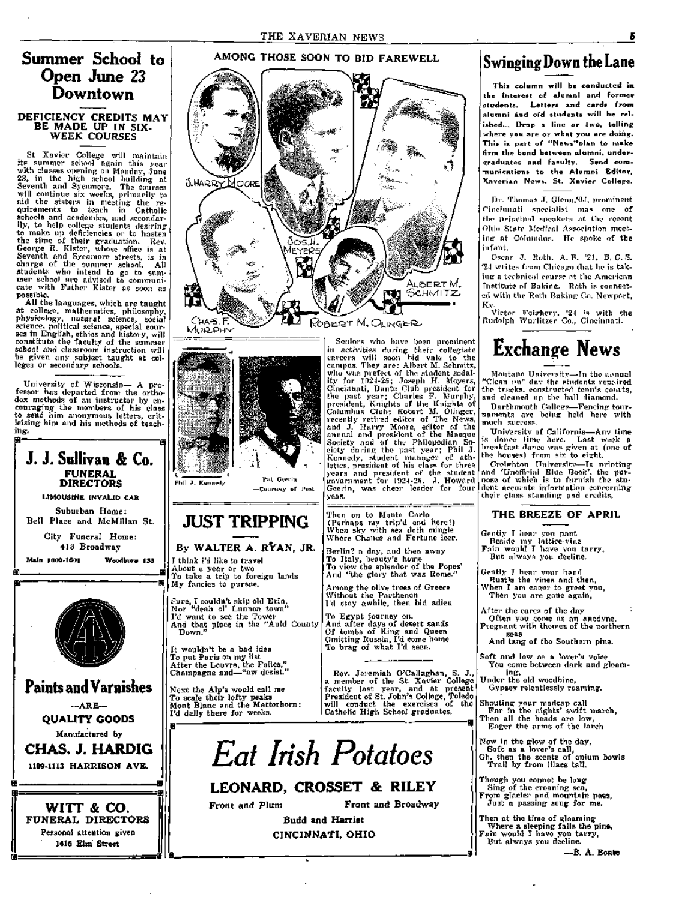## **Summer School to Open June 23 Downtown**

#### DEFICIENCY CREDITS MAY BE MADE UP IN SIX-WEEK COURSES

St Xavier College will maintain its summer school again this year with classes opening on Monday, June 23, in the high .school building at Seventh and Sycamore. The courses will continue six weeks, primarily to aid the sisters in meeting the requirements to teach in Catholic schools and academies, and secondarily, to help college students desiring to make np deficiencies or to hasten the time of their graduation. Rev. George R. Kister, whose office is at Seventh and Sycamore streets, is in charge of the summer school. All students who intend to go to summer school are advised to communicate with Father Kister as soon as possible.

All the languages, which are taught at college, mathematics, philosophy, physicology, natural science, social science, political science, special courses in English, ethics and history, will constitute the faculty of the summer school and classroom instruction will be given any subject taught at colleges or secondary schools.

University of Wisconsin— A professor has departed from the orthodox methods of an instructor by encouraging the members of his class to send him anonymous letters, criticising him and his methods of teaching.



**®:** 





**Pat Geei-in -Counesy of Post** 

## **JUST TRIPPING**

By WALTER A. RYAN, JR. I think i'd like to travel About a year or two To take a trip to foreign lands

My fancies to pursue. Eure, I couldn't skip old Erin,<br>Nor "deah ol' Lunnon town"

Nor "deah ol' Lunnon town" I'd want to see the Tower And that place in the "Auld County Down."

It wouldn't be a bad idea To put Paris on my list After the Louvre, the Folies," Champagne and—"aw desist."

Next the Alp's would call me To scale their lofty peaks iMont Blanc and the Matterhorn: I'd dally there for weeks.

To brag- of what I'd seen. Rev. Jeremiah O'Callaghan, S. J., a member of the St. Xavier College faculty last year, and at present

To view the splendor of the Popes' And "the glory that was Rome." Among the olive trees of Greece

I'd stay awhile, then bid adieu

And after days of desert sands Of tombs of King and Queen Omitting Russia, I'd come home

Then on to Monte Carlo (Perhaps my trip'd end here!) When sky with sea doth mingle Where Chance and Fortune leer. Berlin? a day, and then away To Italy, beauty's home

Without the Parthenon

To Egypt journey on.

iu activities during their collegiate careers will soon bid vale to the campus. They are : Albert M. Schmitz, who was prefect of the student sodality for 1924-25; .Joseph H. Meyers, Cincinnati, Dante Club president for the past year; Charles F. Murphy, president. Knights of the Knights of Columbus Club; Robert M. Olinger, recently retired editor of The News, and J. Harry Moore, editor of the annual and pi-esident of the Masque Society and of the Philopedian Society during the past year; Phil J. Kennedy, student manager of athletics, president of his class for three years and president of the student >;-nvernment for 192-1-2.5. >1. Howard Geerin, was cheer leader foi- four Geerin, was cheer leader for four<br>yeas.

President of St. John's College, Toledo will conduct the exercises of the Catholic High School graduates.

**• a a a a a g a g a g a g a g a g a g a** 

# *Eat Irish Potatoes*

## **LEONARD, CROSSET & RILEY**

Front and Plum Front and Broadway

Budd and Harriet CINCINNATI, OHIO

## **Swinging Down the Lane**

**This column will be conducted in the interest of alumni and forme r students. Letter s and cards from alumni and old students will be relished... Drop a line or two, telling**  where you are or what you are doing. **This is part of "News"plan to make firm the bond between alumni, undei-- <7raduates and faculty. Send communications to the Alumni Editor, Xaverian News. St. Xavie r Collepre.** 

Dr. Thomas J. Glenn,'04, prominent Cincinnati specialist mas one of the principal speakers at the recent Oliio Stale Mcclical Association meeting at Columdus. He spoke of the infant.

Oscar J. Roth. A.B. '21. B. C. S. '24 writes from Chicago that he is taking a technical course at the American Institute of Baking. Roth is connected with tho Roth Baking Co. Newport, Ky.

Victor Fcifhory. '24 is with the Rudolph Wurlitzer Co., Cincinna-;!.

## **Exchange News**

Montano. University—In the aenual Clean  $10<sup>p</sup>$  day the students repaired the tracks, constructod tennis coi.rts, and cleaned up tho ball diamond.

Darthmouth College—Fencing tournaments are being held here with much success.

Universitv of California—Anv time is dance time here. Last week a breakfast danco was given at (one of the houses) from six to eight.

Creichton Universitv—Is orinting and 'Unofficial Blue Book', the purnose of which is to furnish the student accurate information concerning their class standing and credits.

## THE BREEZE OF APRIL

Gently T hear yon pant Beside my lattice-vine Fain would I have von tarry. But always you decline.

Gently I hear vour hand Rustle the vines and then,

When I am eager to greet you, Then you are gone again.

After the cares of the day Often you come as an anodyne, Pregnant with themes of the northern seas

And tang of the Southern pine.

Soft and low as a lover's voice You come between dark and gloaming.

Under the old woodbine, Gypsey relentlessly roaming.

Shouting your madcap call Far in the nights' swift march, Then all the heads are low. Eager the arms of the larch

- Now in the glow of the day. Soft as a lover's call.
- Oh. then the scents of onium bowls Trail by from lilacs tall.

Though you connot be long

Sing of the croaning sea. From glacier and mountain pass, Just a passing song for me.

Then at the time of gloaming Where a sleeping falls the pina, Fain would I have you tarry,

But always you decline.

—B. A. Bonte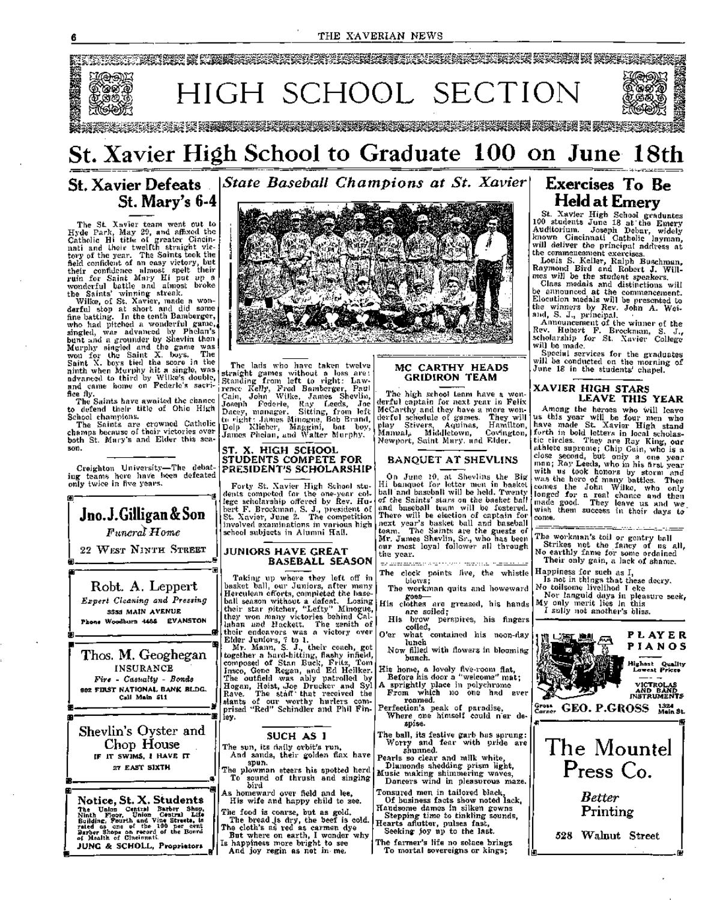#### THE XAVERIAN NEWS



## St. Xavier High School to Graduate 100 on June 18th

## **St. Xavier Defeats**  *State Baseball Champions at St. Xavier*  **St. Mary's 6-4**

The St. Xavier team went out to Hyde Park, May 29, and affixed the Catholic Hi title of greater Cincinnati and their twelfth straight victory of the year. The Saints took the field confident of an easy victory, but their confidence almost spelt their ruin for Saint Mary Hi put up a wonderful battle and almost broke the Saints' winning streak.

Wilke, of St. Xavier, made a wonderful stop at short and did some fine batting. In the tenth Bamberger, who had pitched a wonderful game, singled, was advanced by Phelan's bunt and a grounder by Shevlin then Murphy singled and the game was won for the Saint X. boys. The Saint X. boys tied the score in the ninth when Murphy hit a single, was advanced to third by Wilke's double, and came home on Federle's sacrifice fly.

The Saints have awaited the chance to defend their title of Ohio High School champions.

The Saints are crowned Catholic champs because of their victories over both St. Mary's and Elder this season.

Creighton University—The debating teams here have been defeated only twice in five years.

**Jno.J.Gilligan&Son** 

*Funeral Home*  22 WEST NINTH STREET

Robt. A. Leppert *Expert Cleaning and Pressing*  **3555 MAIN AVENUE Phone Woodburn 4488 EVANSTON** 

Thos. M. Geoghegan **INSURANCE** *Fire - Casualty - Bonds*  **902 FIRST NATIONAL BANK BLDG. Call Main 511** 

Shevlin's Oyster and Chop House **IF IT SWIMS, I HAVE IT 27 EAST SIXTH** 

**Notice, St. X. Students** 

The Union Central Barber Shop,<br>Ninth Floor, Union Gentral Life,<br>Suilding, Fourth and Vine Structs, is<br>Barber Shops on record of the Bonrd<br>Barber Shops on record of the Bonrd<br>of Health of Cincinnati.

JUNG & SCHOLL, Proprietors

ነር

**®-**

**@-**

**11.** 

**a-**

**a-**

**B.** 



The lads who have taken twelve straight games without a loss are : Standing from left to right: Lawrence Kelly, Fred Bamberger, Paul Cain, John Wilke, James Shevlin, Joseph Federle, Ray Leeds, Joe Dacey, manager. Sitting, fi-om left to right: James Minogue, Bob Brand, Dolp Klieber, Maggini, bat boy, James Pholan, and Walter Murphy.

#### ST. X. HIGH SCHOOL STUDENTS COMPETE FOR PRESIDENT'S SCHOLARSHIP

Forty St. Xavier High School students competed for the one-year collego scholarship offered by Rev. Hubert F. Brockman, S. J., president oE St. Xavier, June 2. The competition involved examinations in various high school subjects in Alumni Hall.

#### JUNIORS HAVE GREAT BASEBALL SEASON

Taking up where they left off in basket ball, our Juniors, after many Herculean efl'orts, completed the baseball season without a defeat. Losing their star pitcher, "Lefty" Minogue, they won many victories behind Cal lahan and Hackett. The zenith of their endeavors was a victory over Elder Juniors, 7 to 1.

Mr. Mann, S. J., their coach, got together a hard-hitting, flashy infield, composed of Stan Buck, Fritz, Tom Insco, Gene Regan, and Ed Heilker. The outfield was ably patrolled by Hogan, Heist, vJoe Drucker and Syl Rave. The staff that received the slants of our worthy hurlers comprised "Red" Schindler and Phil Finley.

## SUCH AS I

The sun, its daily orbit's run. And sands, their golden flax have spun.

The plowman steers his spotted herd To sound of thrush and singingbird

As homeward over field and lee. His wife and happy child to see.

The food is coarse, but as gold. The bread is dry, the beef is cold. The cloth's as red as carmen dye

 $\left\| \begin{matrix} \mathbf{T} \mathbf{h} \\ \mathbf{F} \\ \mathbf{I} \mathbf{s} \end{matrix} \right\|_A$ But where on earth, I wonder why Is happiness more bright to see

And joy regin as not in me.

#### MC CARTHY HEADS GRIDIRON TEAM

The high school team have a wonderful captain for next year in Felix McCarthy and they have a moi-e wonderful schedule of games. They will play Stivers, Aquinas, Hamilton, Manual,: Middletown, Co-v'ington, Newport, Saint Mary, and Elder-

## BANQUET AT SHEVLINS

On June 10, at Sbevlins the Big Hi banquet for letter men in Ijasket ball'and baseball will be held. Twenty of the Saints' stars on the basket ball and baseball team will be fostered. There will be election of captain foinext year's basket ball and baseball team. The Saints are the guests of Mr. James Shevlin, Sr., who has been our most loyal follower all through the year. the light interaction of the state of state collection in the state of the state of the state of the state of

The clock points five, the whistle

- blows; The workman quits and howeward
- goes— His clothes are greased, his hands
- are soiled; H is brow perspires, his fingers
- coiled. O'er what contained his noon-day lunch
- Now filled with flowers in blooming bunch.
- His home, a lovely five-room flat.
- Before his door a "welcome" mat; A sprightly place in polychrome
- From which no one had ever roamed.
- Perfection's peak of paradise. Where one himself could n'er despise.
- The ball, its festive garb has sprung: Worry and fear with pride are shunned.
- Pearls so clear and milk white. Diamonds shedding prism light,

Music making shimmering- waves. Dancers wind in pleasurous maze. Tonsured men in tailored black,

- Of business facts sliow noted lack. Handsome dames in silken gowns
- Stepping time to tinkling sounds. Hearts aflutter, pulses fast, Seeking joy up to the last.
- The farmer's life no solace brings

To mortal sovereigns or kings;

## **Exercises To Be Held at Emery**

St. Xavier High School graduates 100 students June 18 at the Emery Auditorium. Joseph Debar, widely known Cincinnati Catholic layman, will deliver the principal address at the commencement exercises.

Louis S. Keller, Ralph Buschman, Raymond Bird and Robert J. Willmes will be the student speakers.

Class medals and distinctions will be announced at the commencement. Elocution medals will be presented to the winners by Rev. John A. Weiand, S. J., principal.

Announcement of the winner of the Rev. Hubert F. Brockman, S. J. / scholarship for St. Xavier College will be made.

Special services for the graduates will be conducted on the morning of June 18 in the students' chapel.

## XAVIER HIGH STARS LEAVE THIS YEAR

Among- the heroes who will leave us this year will be four men who have made St. Xavier High stand forth in bold letters in local scholastic circles. They are Ray King, our athlete supreme; Chip Cain, who is a close second, but only a one year man; Ray Leeds, who in his first year with us took honors by storm and was the hero of many battles. Then comes the John Wilke, who only longed for a real chance and then made good. They leave us and we wish them success in their days to come.





6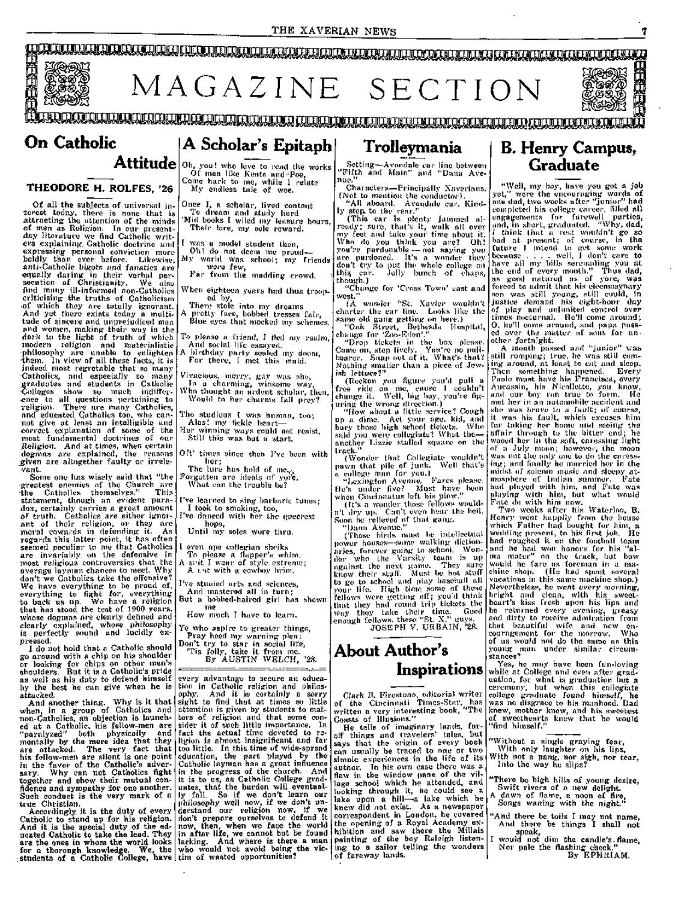

#### **THEODORE H. ROLFES, '26**

Of all the subjects of universal interest today, there is none that is attracting the attention of the minds of men as Religion. Tn our presentday literature we find Catholic writers e.xplaining. Catholic doctrine and €xpressing personal conviction more boldly than ever before. Likewise, anti-Catholic bigots and fanatics are equally daring in their verbal persecution of Christianity. We also find many ill-infoi-med non-Catholics criticising the truths of Catholicism of which they are totally ignorant. And yet there exists today a multitude of sincere and unprejudiced men and women, making their way in the dark to the light of truth of which modern religion and materialistic •philosophy are unable to enlighten •them. In view of all these facts, it is indeed most regretable that so many •Catholics, and especially so many graduates and students in Catholic •Colleges show so much indiffer- >ence to all questions pertaining to religion. There are many Catholics, and educated Catholics too, who cannot give at least an intelligible and correct explanation of some of the most fundamental doctrines of our .Religion. And at times, when certain dogmas are explained, the reasons .given are altogether faulty or irrelevant.

Some one has wisely said that "the •greatest enemies of the Church are •the Catholics themselves." This statement, though an evident paradox, certainly carries a great amount of truth. Catholics are either ignorant of their religion, or they are moral cowards in defending it. As regards this latter point, it has often seemed peculiar to me that Catholics are invariably on the defensive in most religious controversies that the average layman chances to meet. Why average layman chances to meet. Why don't we Catholics take the offensive? We have everything to be proud of, everything to fight for, everything -to back us up. We have a religion that has stood the test of 1900 years. whose dogmas are clearly defined and clearly explained, whose philosophy is perfectly sound and lucidly expressed.

I do not hold that a Catholic should go around with a chip on his shoulder or looking for chips on other men's shoulders. But it is a Catholic's pride as well as his duty to defend himself by the best he can give when he is attacked.

And another thing. Why is it that when, in a group of Catholics and non-Catholics, an objection is launched at a Catholic, his fellow-men are "paralyzed" both physically and mentally by the mere idea that they are attacked. The very fact that his fellow-men are silent is one point in the favor of the Catholic's adversary. Why can not Catholics fight together and show their mutual confidence and sympathy for one another. Such conduct is the very mark of a true Christian,

Accordingly it is the duty of every Catholic to stand up for his religion. And it is the special duty of the educated Catholic to take the lead. They are the ones in whom the world looks for a thorough knowledge. We, the : students of a Catholic College, have

Of men like Keats and Poe, Come hark to me, while 1 relate My endless tale of woe.

Once I, a scholar, lived content To dream and study hard 'Mid books I wiled my leasui-e hours,

Their lore, niy sole reward. was a model student then.

Oh I do not deem me proud— My world was school; my Ci-iends

were few. Far from the madding crowd.

When eighteen years had thus trooped by.

There stole into my dreams A pretty face, bobbed tresses fair.

Blue eyes that mocked my schenies.

To please a friend, 1 ficd my realm, Ami social life essayed.

A birthday pai-ty sealed my doom. For there, [ met this maid.

Vivacious, merry, gay was she, In a chai-niing, winsome way.

Who thought an ardent scholai-, then. Would to her charms fall prey

Tho studious I was human, too; Alas! my fickle heart—

Hci- winning ways could not resist, Still this was but a start.

Oft' times since then I've been with

her; The lure has hold of me $\varsigma_{\rm{a}}$ 

Forgotten are ideals of yoi'e. What can the ti-ouble be?

I've learned to sing barbaric tunes; I took to smoking, too,

I've danced with her the queerest hops.

Until my soles v/ore thru.

even ape collegian sheiks To please a flapper's whim. A sait I wear of style extreme;

A t.st with a cowboy brim.

I've stuciied arts and sciences. And mastered all in turn; But a bobbed-haired girl has shown

me How much I have to learn.

Ye who aspire to greater things,

Pray heed my warning plea Don't ti-y to star in social life, 'Tis folly, take it from me.

By AUSTIN WELCH, '28.

every advantage to secure an education in Catholic religion and philosophy. And it is certainly a sorry sight to find that at times so little attention is given by students to matters of religion and that some consider it of such little importance. In fact the actual time devoted to religion is almost insignificant and far too little. In this time of wide-spread education, the part played by the Catholic layman has a great influence in the progress of the church. And it is to us, as Catholic College graduates, that the burden will eventually fall. So if we don't learn our philosophy well now, if we don't understand our religion now, if we don't prepare ourselves to defend it now, then, when we face the world in after life, we cannot but be found lacking. And where is there a man who would not avoid being the victim of wasted opportunities?

"Fifth and Main" and "Dana Avenue."

Characters-Principally Xaverians. (Not to mention the conductor). "All aboard. Avondale car. Kindly step to the rear.''

(This car is plenty janimed already; sure, that's it, walk all over my feet and take your time about it. Who do you think you are? Oh I you're pardonable — not saying you are pardoned. It's a wonder they don't try to put the whole college on thi^ car. Jolly bunch of chaps, this car.<br>though.) "Change for 'Cross Town' east and

west."

(A wondei- "St. Xavier wouldn't charter tlic car line. Looks like the •same old gang getting on here.) "Oak .Street, Bethesda Hospital,

change for 'Zoo-Eden'." "Drop tickets in the box please. Come on, step lively. You're no pallbcai-er. Snap out of it. What's that? Nothing smaller than a piece of Jewi.sh lettuce?"

(Reckon you figure you'd pull free ride on mo, cause 1 couldn't change it. Well, big boy<sub>r</sub> you're figuring the wrong direction.)

"How about a little sei'vice? Cough up a dime. Act your age, kid, and bui-y those high school tickets. Who said you were collegiate? What the another Lizzie stalled square on the track."

(Wonder that Collegiate wouldn't pawn that pile of junk. Well that's a collego man foi- you.)

"Lexington Avenue. Fares please. He's under five? Must have been when Cincinnalus loft his jalow." (It's a wonder those fellows wouldn't dry up. Can't even hear the bell.

Soon be relieved of that gang. "Uana Avenue."

(Those birds must lie intellectual power houses—some walking dictionaries, forever going to school. Wonder who the Varsity team is up against the next game. They sure know thoii- stuff. Must be hot stufl' to go to school and play baseball all your life. High time some of these fellows woi-e getting off; you'd think that they had round trip tickets the way they take their time. Good enough fellows, these "St. X." u'uys. JOSEPH V. URBAIN, '28.

## **About Author's Inspirations**

Clark B. Firestone, editorial writer of the Cincinnati Times-Star, has written a very interesting book, "The Coasts of Illusions."

He tells of imaginary lands, faroff things and travelers' tales, but says that the origin of every book can usually be traced to one or two simole experiences in the life of its author. In his own case there was a flaw in the window pane of the village school which he attended, and looking through it, he could see a lake upon a hill—a lake which he knew did not exist. As a newspaper correspondent in London, he covered the opening of a Royal Academy exhibition and saw there the Millais painting of the boy Raleigh listening to a sailor telling the wonders of faraway lands.

"Weil, my boy, have you got a job yet," were the encouraging words of one dad, two weeks after "junior" had one dad, two weeks after "junior" had completed his college careei-, filled all engagements for farewell parties, and, in short, graduated. "Why, dad, I think that a rest wouldn't go so bad at present; of course, in the future I intend to get some work because ... . well, 1 don't care to have all my bills serenading you at the end of every month." Thus dad, as good natured as of yore, was forced to admit that his eleemosynary son was still young, still could, in justice demand his eight-hour day of play and unlimited control over times nocturnal. He'll come around; 0, he'll come around, and papa passed over the matter of sons for another fortnight.

A month passed and "junioi " v.as still romping; true, he was still coming around, at least to eat and sleep. Then something happened. Every I^aolo must have his Francisca, every .Aucassin, his Nicollette, you know, and our boy ran true to form. He met her in an automobile accident and she was bravo to a fault; of course, it was his fault, which excuses him for taking her home and seeing the affair through to the bitter end; he wooed her in the soft, caressing light of a July moon; however, the moon was not the only one to do the caressing; and finally he married her in the midst of solemn music and sleepy atmosphere of Indian summer. Fate had played with him, and Fate was playing with him, but what would Fate do with him now.

Two weeks after his Waterloo, B. Henry went happily from the house which Father had bought for him, a wedding present, to his first job. He wellding present, to his first job. He had roughed it on the football team and he had won honors for his "alma mater " on the ti-ack, but how would he fare as foreman in a machine shop. (He had spent several vacations in this same machine shop.) Nevertheless, he went every morning, bright and clean, with his sweetheart's kiss frosh upon his lips and he returned every evening, greasy and dirty to receive admiration from that beautiful wife and now encouragement for the morrow. Who of us would not do the same as this young man under similar circumstances?

Yes, ho may have been fun-loving while at College and even after graduation, for what is graduation but a ceremony, but when this collegiate college graduate found himself, he was no disgrace to his manhood. Dad knew, mother knew, and his sweetest of sweethearts knew that he would "find himself."

"Without a single graying fear. With only laughter on his lips. With not a pang, nor sigh, nor tear, Into the way he slips?

- "There be high hills of young desire. Swift rivers of a new delight. A dawn of flame, a noon of fire.
- Songs waning with the night."
- "And there be toils I may not name. And there be things I shall not speak,
- I would not dim the candle's. flame. Nor pale the flashing cheek." By EPHRIAM.

7